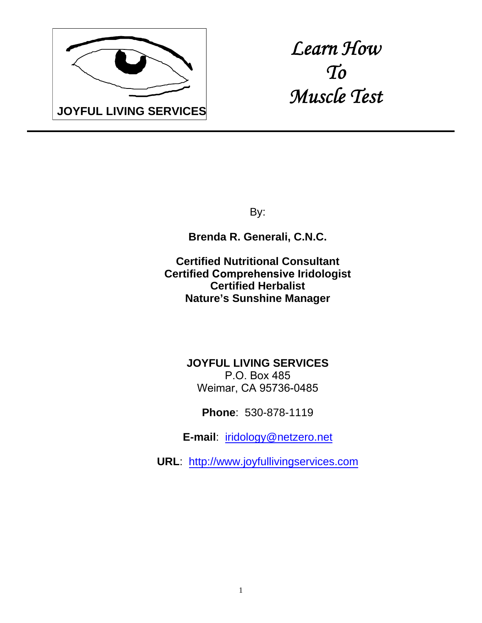

*Learn How To Muscle Test* 

By:

**Brenda R. Generali, C.N.C.**

**Certified Nutritional Consultant Certified Comprehensive Iridologist Certified Herbalist Nature's Sunshine Manager**

> **JOYFUL LIVING SERVICES** P.O. Box 485 Weimar, CA 95736-0485

> > **Phone**: 530-878-1119

**E-mail**: iridology@netzero.net

**URL**: http://www.joyfullivingservices.com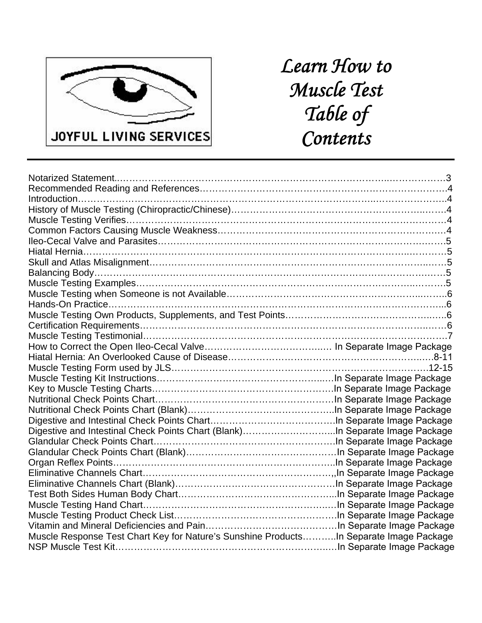

# *Learn How to Muscle Test Table of Contents*

| Digestive and Intestinal Check Points Chart (Blank)In Separate Image Package           |  |
|----------------------------------------------------------------------------------------|--|
|                                                                                        |  |
|                                                                                        |  |
|                                                                                        |  |
|                                                                                        |  |
|                                                                                        |  |
|                                                                                        |  |
|                                                                                        |  |
|                                                                                        |  |
|                                                                                        |  |
| Muscle Response Test Chart Key for Nature's Sunshine ProductsIn Separate Image Package |  |
|                                                                                        |  |
|                                                                                        |  |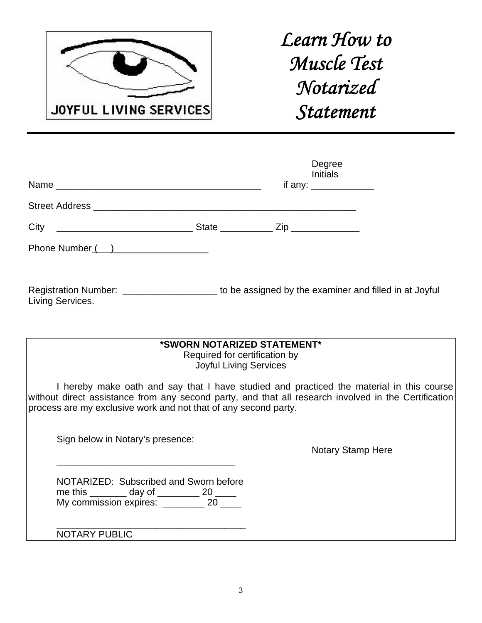

# *Learn How to Muscle Test Notarized Statement*

|                                                                                                                         |                                                                                               | Degree<br><b>Initials</b><br>if any: $\frac{1}{2}$ |  |
|-------------------------------------------------------------------------------------------------------------------------|-----------------------------------------------------------------------------------------------|----------------------------------------------------|--|
|                                                                                                                         |                                                                                               |                                                    |  |
|                                                                                                                         |                                                                                               |                                                    |  |
| Phone Number ( )                                                                                                        |                                                                                               |                                                    |  |
| Registration Number: _______________________ to be assigned by the examiner and filled in at Joyful<br>Living Services. |                                                                                               |                                                    |  |
|                                                                                                                         | *SWORN NOTARIZED STATEMENT*<br>Required for certification by<br><b>Joyful Living Services</b> |                                                    |  |

I hereby make oath and say that I have studied and practiced the material in this course without direct assistance from any second party, and that all research involved in the Certification process are my exclusive work and not that of any second party.

Sign below in Notary's presence:

 $\frac{1}{\sqrt{2}}$  ,  $\frac{1}{\sqrt{2}}$  ,  $\frac{1}{\sqrt{2}}$  ,  $\frac{1}{\sqrt{2}}$  ,  $\frac{1}{\sqrt{2}}$  ,  $\frac{1}{\sqrt{2}}$  ,  $\frac{1}{\sqrt{2}}$  ,  $\frac{1}{\sqrt{2}}$  ,  $\frac{1}{\sqrt{2}}$  ,  $\frac{1}{\sqrt{2}}$  ,  $\frac{1}{\sqrt{2}}$  ,  $\frac{1}{\sqrt{2}}$  ,  $\frac{1}{\sqrt{2}}$  ,  $\frac{1}{\sqrt{2}}$  ,  $\frac{1}{\sqrt{2}}$ 

Notary Stamp Here

|                        |        | NOTARIZED: Subscribed and Sworn before |
|------------------------|--------|----------------------------------------|
| me this                | day of | 20                                     |
| My commission expires: |        | 20                                     |

 $\overline{\phantom{a}}$  ,  $\overline{\phantom{a}}$  ,  $\overline{\phantom{a}}$  ,  $\overline{\phantom{a}}$  ,  $\overline{\phantom{a}}$  ,  $\overline{\phantom{a}}$  ,  $\overline{\phantom{a}}$  ,  $\overline{\phantom{a}}$  ,  $\overline{\phantom{a}}$  ,  $\overline{\phantom{a}}$  ,  $\overline{\phantom{a}}$  ,  $\overline{\phantom{a}}$  ,  $\overline{\phantom{a}}$  ,  $\overline{\phantom{a}}$  ,  $\overline{\phantom{a}}$  ,  $\overline{\phantom{a}}$ NOTARY PUBLIC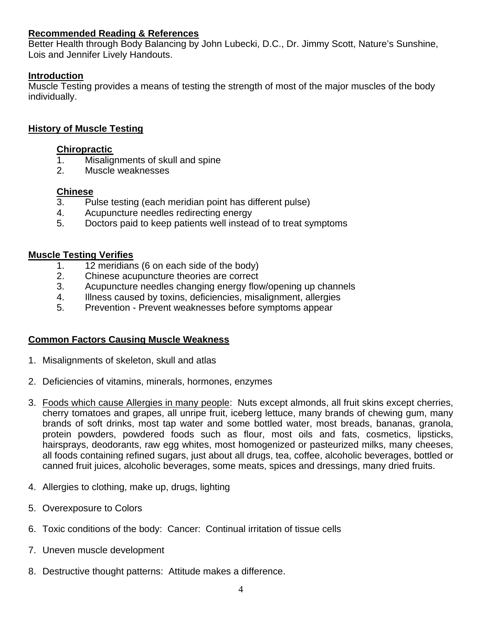#### **Recommended Reading & References**

Better Health through Body Balancing by John Lubecki, D.C., Dr. Jimmy Scott, Nature's Sunshine, Lois and Jennifer Lively Handouts.

#### **Introduction**

Muscle Testing provides a means of testing the strength of most of the major muscles of the body individually.

#### **History of Muscle Testing**

#### **Chiropractic**

- 1. Misalignments of skull and spine
- 2. Muscle weaknesses

#### **Chinese**

- 3. Pulse testing (each meridian point has different pulse)
- 4. Acupuncture needles redirecting energy
- 5. Doctors paid to keep patients well instead of to treat symptoms

#### **Muscle Testing Verifies**

- 1. 12 meridians (6 on each side of the body)
- 2. Chinese acupuncture theories are correct
- 3. Acupuncture needles changing energy flow/opening up channels
- 4. Illness caused by toxins, deficiencies, misalignment, allergies
- 5. Prevention Prevent weaknesses before symptoms appear

### **Common Factors Causing Muscle Weakness**

- 1. Misalignments of skeleton, skull and atlas
- 2. Deficiencies of vitamins, minerals, hormones, enzymes
- 3. Foods which cause Allergies in many people: Nuts except almonds, all fruit skins except cherries, cherry tomatoes and grapes, all unripe fruit, iceberg lettuce, many brands of chewing gum, many brands of soft drinks, most tap water and some bottled water, most breads, bananas, granola, protein powders, powdered foods such as flour, most oils and fats, cosmetics, lipsticks, hairsprays, deodorants, raw egg whites, most homogenized or pasteurized milks, many cheeses, all foods containing refined sugars, just about all drugs, tea, coffee, alcoholic beverages, bottled or canned fruit juices, alcoholic beverages, some meats, spices and dressings, many dried fruits.
- 4. Allergies to clothing, make up, drugs, lighting
- 5. Overexposure to Colors
- 6. Toxic conditions of the body: Cancer: Continual irritation of tissue cells
- 7. Uneven muscle development
- 8. Destructive thought patterns: Attitude makes a difference.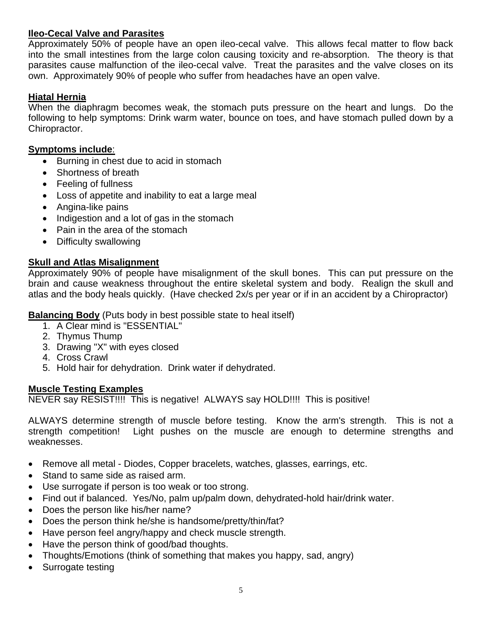#### **Ileo-Cecal Valve and Parasites**

Approximately 50% of people have an open ileo-cecal valve. This allows fecal matter to flow back into the small intestines from the large colon causing toxicity and re-absorption. The theory is that parasites cause malfunction of the ileo-cecal valve. Treat the parasites and the valve closes on its own. Approximately 90% of people who suffer from headaches have an open valve.

#### **Hiatal Hernia**

When the diaphragm becomes weak, the stomach puts pressure on the heart and lungs. Do the following to help symptoms: Drink warm water, bounce on toes, and have stomach pulled down by a Chiropractor.

#### **Symptoms include**:

- Burning in chest due to acid in stomach
- Shortness of breath
- Feeling of fullness
- Loss of appetite and inability to eat a large meal
- Angina-like pains
- Indigestion and a lot of gas in the stomach
- Pain in the area of the stomach
- Difficulty swallowing

#### **Skull and Atlas Misalignment**

Approximately 90% of people have misalignment of the skull bones. This can put pressure on the brain and cause weakness throughout the entire skeletal system and body. Realign the skull and atlas and the body heals quickly. (Have checked 2x/s per year or if in an accident by a Chiropractor)

**Balancing Body** (Puts body in best possible state to heal itself)

- 1. A Clear mind is "ESSENTIAL"
- 2. Thymus Thump
- 3. Drawing "X" with eyes closed
- 4. Cross Crawl
- 5. Hold hair for dehydration. Drink water if dehydrated.

#### **Muscle Testing Examples**

NEVER say RESIST!!!! This is negative! ALWAYS say HOLD!!!! This is positive!

ALWAYS determine strength of muscle before testing. Know the arm's strength. This is not a strength competition! Light pushes on the muscle are enough to determine strengths and weaknesses.

- Remove all metal Diodes, Copper bracelets, watches, glasses, earrings, etc.
- Stand to same side as raised arm.
- Use surrogate if person is too weak or too strong.
- Find out if balanced. Yes/No, palm up/palm down, dehydrated-hold hair/drink water.
- Does the person like his/her name?
- Does the person think he/she is handsome/pretty/thin/fat?
- Have person feel angry/happy and check muscle strength.
- Have the person think of good/bad thoughts.
- Thoughts/Emotions (think of something that makes you happy, sad, angry)
- Surrogate testing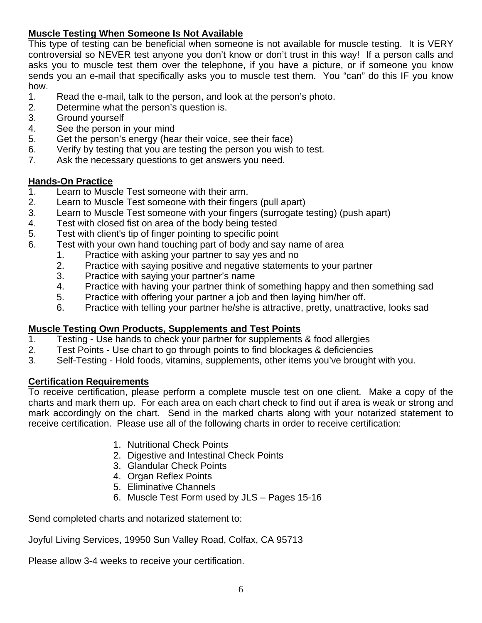### **Muscle Testing When Someone Is Not Available**

This type of testing can be beneficial when someone is not available for muscle testing. It is VERY controversial so NEVER test anyone you don't know or don't trust in this way! If a person calls and asks you to muscle test them over the telephone, if you have a picture, or if someone you know sends you an e-mail that specifically asks you to muscle test them. You "can" do this IF you know how.

- 1. Read the e-mail, talk to the person, and look at the person's photo.
- 2. Determine what the person's question is.
- 3. Ground yourself
- 4. See the person in your mind
- 5. Get the person's energy (hear their voice, see their face)
- 6. Verify by testing that you are testing the person you wish to test.
- 7. Ask the necessary questions to get answers you need.

### **Hands-On Practice**

- 1. Learn to Muscle Test someone with their arm.
- 2. Learn to Muscle Test someone with their fingers (pull apart)
- 3. Learn to Muscle Test someone with your fingers (surrogate testing) (push apart)
- 4. Test with closed fist on area of the body being tested
- 5. Test with client's tip of finger pointing to specific point
- 6. Test with your own hand touching part of body and say name of area
	- 1. Practice with asking your partner to say yes and no
		- 2. Practice with saying positive and negative statements to your partner
		- 3. Practice with saying your partner's name
		- 4. Practice with having your partner think of something happy and then something sad
		- 5. Practice with offering your partner a job and then laying him/her off.
		- 6. Practice with telling your partner he/she is attractive, pretty, unattractive, looks sad

### **Muscle Testing Own Products, Supplements and Test Points**

- 1. Testing Use hands to check your partner for supplements & food allergies
- 2. Test Points Use chart to go through points to find blockages & deficiencies
- 3. Self-Testing Hold foods, vitamins, supplements, other items you've brought with you.

### **Certification Requirements**

To receive certification, please perform a complete muscle test on one client. Make a copy of the charts and mark them up. For each area on each chart check to find out if area is weak or strong and mark accordingly on the chart. Send in the marked charts along with your notarized statement to receive certification. Please use all of the following charts in order to receive certification:

- 1. Nutritional Check Points
- 2. Digestive and Intestinal Check Points
- 3. Glandular Check Points
- 4. Organ Reflex Points
- 5. Eliminative Channels
- 6. Muscle Test Form used by JLS Pages 15-16

Send completed charts and notarized statement to:

Joyful Living Services, 19950 Sun Valley Road, Colfax, CA 95713

Please allow 3-4 weeks to receive your certification.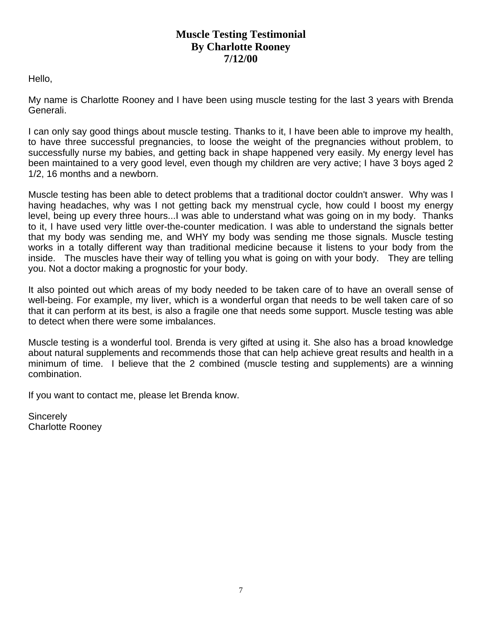### **Muscle Testing Testimonial By Charlotte Rooney 7/12/00**

Hello,

My name is Charlotte Rooney and I have been using muscle testing for the last 3 years with Brenda Generali.

I can only say good things about muscle testing. Thanks to it, I have been able to improve my health, to have three successful pregnancies, to loose the weight of the pregnancies without problem, to successfully nurse my babies, and getting back in shape happened very easily. My energy level has been maintained to a very good level, even though my children are very active; I have 3 boys aged 2 1/2, 16 months and a newborn.

Muscle testing has been able to detect problems that a traditional doctor couldn't answer. Why was I having headaches, why was I not getting back my menstrual cycle, how could I boost my energy level, being up every three hours...I was able to understand what was going on in my body. Thanks to it, I have used very little over-the-counter medication. I was able to understand the signals better that my body was sending me, and WHY my body was sending me those signals. Muscle testing works in a totally different way than traditional medicine because it listens to your body from the inside. The muscles have their way of telling you what is going on with your body. They are telling you. Not a doctor making a prognostic for your body.

It also pointed out which areas of my body needed to be taken care of to have an overall sense of well-being. For example, my liver, which is a wonderful organ that needs to be well taken care of so that it can perform at its best, is also a fragile one that needs some support. Muscle testing was able to detect when there were some imbalances.

Muscle testing is a wonderful tool. Brenda is very gifted at using it. She also has a broad knowledge about natural supplements and recommends those that can help achieve great results and health in a minimum of time. I believe that the 2 combined (muscle testing and supplements) are a winning combination.

If you want to contact me, please let Brenda know.

**Sincerely** Charlotte Rooney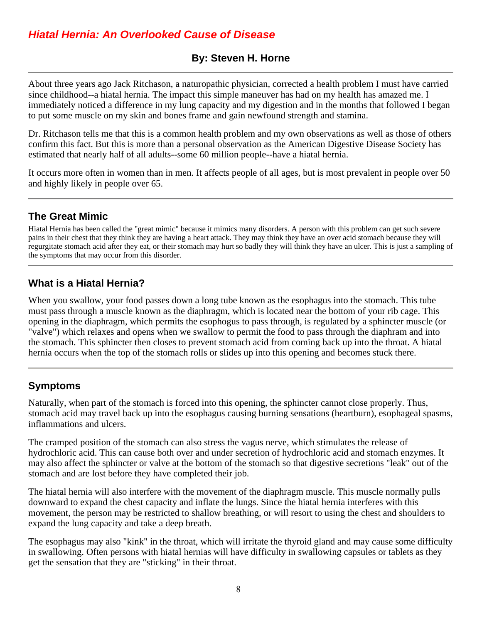## *Hiatal Hernia: An Overlooked Cause of Disease*

## **By: Steven H. Horne**

About three years ago Jack Ritchason, a naturopathic physician, corrected a health problem I must have carried since childhood--a hiatal hernia. The impact this simple maneuver has had on my health has amazed me. I immediately noticed a difference in my lung capacity and my digestion and in the months that followed I began to put some muscle on my skin and bones frame and gain newfound strength and stamina.

Dr. Ritchason tells me that this is a common health problem and my own observations as well as those of others confirm this fact. But this is more than a personal observation as the American Digestive Disease Society has estimated that nearly half of all adults--some 60 million people--have a hiatal hernia.

It occurs more often in women than in men. It affects people of all ages, but is most prevalent in people over 50 and highly likely in people over 65.

## **The Great Mimic**

Hiatal Hernia has been called the "great mimic" because it mimics many disorders. A person with this problem can get such severe pains in their chest that they think they are having a heart attack. They may think they have an over acid stomach because they will regurgitate stomach acid after they eat, or their stomach may hurt so badly they will think they have an ulcer. This is just a sampling of the symptoms that may occur from this disorder.

## **What is a Hiatal Hernia?**

When you swallow, your food passes down a long tube known as the esophagus into the stomach. This tube must pass through a muscle known as the diaphragm, which is located near the bottom of your rib cage. This opening in the diaphragm, which permits the esophogus to pass through, is regulated by a sphincter muscle (or "valve") which relaxes and opens when we swallow to permit the food to pass through the diaphram and into the stomach. This sphincter then closes to prevent stomach acid from coming back up into the throat. A hiatal hernia occurs when the top of the stomach rolls or slides up into this opening and becomes stuck there.

## **Symptoms**

Naturally, when part of the stomach is forced into this opening, the sphincter cannot close properly. Thus, stomach acid may travel back up into the esophagus causing burning sensations (heartburn), esophageal spasms, inflammations and ulcers.

The cramped position of the stomach can also stress the vagus nerve, which stimulates the release of hydrochloric acid. This can cause both over and under secretion of hydrochloric acid and stomach enzymes. It may also affect the sphincter or valve at the bottom of the stomach so that digestive secretions "leak" out of the stomach and are lost before they have completed their job.

The hiatal hernia will also interfere with the movement of the diaphragm muscle. This muscle normally pulls downward to expand the chest capacity and inflate the lungs. Since the hiatal hernia interferes with this movement, the person may be restricted to shallow breathing, or will resort to using the chest and shoulders to expand the lung capacity and take a deep breath.

The esophagus may also "kink" in the throat, which will irritate the thyroid gland and may cause some difficulty in swallowing. Often persons with hiatal hernias will have difficulty in swallowing capsules or tablets as they get the sensation that they are "sticking" in their throat.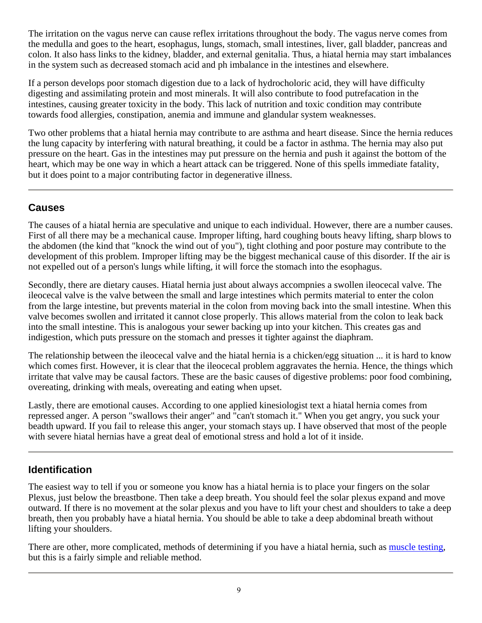The irritation on the vagus nerve can cause reflex irritations throughout the body. The vagus nerve comes from the medulla and goes to the heart, esophagus, lungs, stomach, small intestines, liver, gall bladder, pancreas and colon. It also hass links to the kidney, bladder, and external genitalia. Thus, a hiatal hernia may start imbalances in the system such as decreased stomach acid and ph imbalance in the intestines and elsewhere.

If a person develops poor stomach digestion due to a lack of hydrocholoric acid, they will have difficulty digesting and assimilating protein and most minerals. It will also contribute to food putrefacation in the intestines, causing greater toxicity in the body. This lack of nutrition and toxic condition may contribute towards food allergies, constipation, anemia and immune and glandular system weaknesses.

Two other problems that a hiatal hernia may contribute to are asthma and heart disease. Since the hernia reduces the lung capacity by interfering with natural breathing, it could be a factor in asthma. The hernia may also put pressure on the heart. Gas in the intestines may put pressure on the hernia and push it against the bottom of the heart, which may be one way in which a heart attack can be triggered. None of this spells immediate fatality, but it does point to a major contributing factor in degenerative illness.

## **Causes**

The causes of a hiatal hernia are speculative and unique to each individual. However, there are a number causes. First of all there may be a mechanical cause. Improper lifting, hard coughing bouts heavy lifting, sharp blows to the abdomen (the kind that "knock the wind out of you"), tight clothing and poor posture may contribute to the development of this problem. Improper lifting may be the biggest mechanical cause of this disorder. If the air is not expelled out of a person's lungs while lifting, it will force the stomach into the esophagus.

Secondly, there are dietary causes. Hiatal hernia just about always accompnies a swollen ileocecal valve. The ileocecal valve is the valve between the small and large intestines which permits material to enter the colon from the large intestine, but prevents material in the colon from moving back into the small intestine. When this valve becomes swollen and irritated it cannot close properly. This allows material from the colon to leak back into the small intestine. This is analogous your sewer backing up into your kitchen. This creates gas and indigestion, which puts pressure on the stomach and presses it tighter against the diaphram.

The relationship between the ileocecal valve and the hiatal hernia is a chicken/egg situation ... it is hard to know which comes first. However, it is clear that the ileocecal problem aggravates the hernia. Hence, the things which irritate that valve may be causal factors. These are the basic causes of digestive problems: poor food combining, overeating, drinking with meals, overeating and eating when upset.

Lastly, there are emotional causes. According to one applied kinesiologist text a hiatal hernia comes from repressed anger. A person "swallows their anger" and "can't stomach it." When you get angry, you suck your beadth upward. If you fail to release this anger, your stomach stays up. I have observed that most of the people with severe hiatal hernias have a great deal of emotional stress and hold a lot of it inside.

## **Identification**

The easiest way to tell if you or someone you know has a hiatal hernia is to place your fingers on the solar Plexus, just below the breastbone. Then take a deep breath. You should feel the solar plexus expand and move outward. If there is no movement at the solar plexus and you have to lift your chest and shoulders to take a deep breath, then you probably have a hiatal hernia. You should be able to take a deep abdominal breath without lifting your shoulders.

There are other, more complicated, methods of determining if you have a hiatal hernia, such as muscle testing, but this is a fairly simple and reliable method.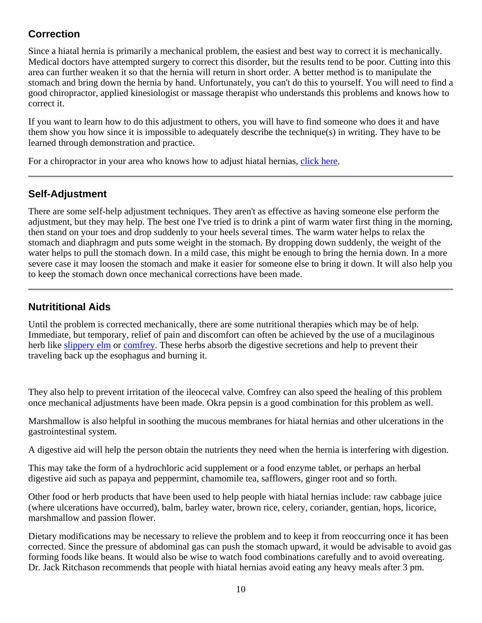## **Correction**

Since a hiatal hernia is primarily a mechanical problem, the easiest and best way to correct it is mechanically. Medical doctors have attempted surgery to correct this disorder, but the results tend to be poor. Cutting into this area can further weaken it so that the hernia will return in short order. A better method is to manipulate the stomach and bring down the hernia by hand. Unfortunately, you can't do this to yourself. You will need to find a good chiropractor, applied kinesiologist or massage therapist who understands this problems and knows how to correct it.

If you want to learn how to do this adjustment to others, you will have to find someone who does it and have them show you how since it is impossible to adequately describe the technique(s) in writing. They have to be learned through demonstration and practice.

For a chiropractor in your area who knows how to adjust hiatal hernias, click here.

## **Self-Adjustment**

There are some self-help adjustment techniques. They aren't as effective as having someone else perform the adjustment, but they may help. The best one I've tried is to drink a pint of warm water first thing in the morning, then stand on your toes and drop suddenly to your heels several times. The warm water helps to relax the stomach and diaphragm and puts some weight in the stomach. By dropping down suddenly, the weight of the water helps to pull the stomach down. In a mild case, this might be enough to bring the hernia down. In a more severe case it may loosen the stomach and make it easier for someone else to bring it down. It will also help you to keep the stomach down once mechanical corrections have been made.

## **Nutrititional Aids**

Until the problem is corrected mechanically, there are some nutritional therapies which may be of help. Immediate, but temporary, relief of pain and discomfort can often be achieved by the use of a mucilaginous herb like slippery elm or comfrey. These herbs absorb the digestive secretions and help to prevent their traveling back up the esophagus and burning it.

They also help to prevent irritation of the ileocecal valve. Comfrey can also speed the healing of this problem once mechanical adjustments have been made. Okra pepsin is a good combination for this problem as well.

Marshmallow is also helpful in soothing the mucous membranes for hiatal hernias and other ulcerations in the gastrointestinal system.

A digestive aid will help the person obtain the nutrients they need when the hernia is interfering with digestion.

This may take the form of a hydrochloric acid supplement or a food enzyme tablet, or perhaps an herbal digestive aid such as papaya and peppermint, chamomile tea, safflowers, ginger root and so forth.

Other food or herb products that have been used to help people with hiatal hernias include: raw cabbage juice (where ulcerations have occurred), balm, barley water, brown rice, celery, coriander, gentian, hops, licorice, marshmallow and passion flower.

Dietary modifications may be necessary to relieve the problem and to keep it from reoccurring once it has been corrected. Since the pressure of abdominal gas can push the stomach upward, it would be advisable to avoid gas forming foods like beans. It would also be wise to watch food combinations carefully and to avoid overeating. Dr. Jack Ritchason recommends that people with hiatal hernias avoid eating any heavy meals after 3 pm.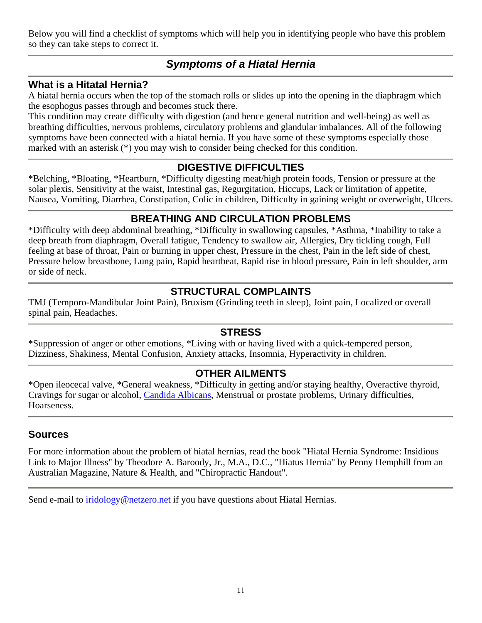Below you will find a checklist of symptoms which will help you in identifying people who have this problem so they can take steps to correct it.

## *Symptoms of a Hiatal Hernia*

### **What is a Hitatal Hernia?**

A hiatal hernia occurs when the top of the stomach rolls or slides up into the opening in the diaphragm which the esophogus passes through and becomes stuck there.

This condition may create difficulty with digestion (and hence general nutrition and well-being) as well as breathing difficulties, nervous problems, circulatory problems and glandular imbalances. All of the following symptoms have been connected with a hiatal hernia. If you have some of these symptoms especially those marked with an asterisk (\*) you may wish to consider being checked for this condition.

## **DIGESTIVE DIFFICULTIES**

\*Belching, \*Bloating, \*Heartburn, \*Difficulty digesting meat/high protein foods, Tension or pressure at the solar plexis, Sensitivity at the waist, Intestinal gas, Regurgitation, Hiccups, Lack or limitation of appetite, Nausea, Vomiting, Diarrhea, Constipation, Colic in children, Difficulty in gaining weight or overweight, Ulcers.

## **BREATHING AND CIRCULATION PROBLEMS**

\*Difficulty with deep abdominal breathing, \*Difficulty in swallowing capsules, \*Asthma, \*Inability to take a deep breath from diaphragm, Overall fatigue, Tendency to swallow air, Allergies, Dry tickling cough, Full feeling at base of throat, Pain or burning in upper chest, Pressure in the chest, Pain in the left side of chest, Pressure below breastbone, Lung pain, Rapid heartbeat, Rapid rise in blood pressure, Pain in left shoulder, arm or side of neck.

## **STRUCTURAL COMPLAINTS**

TMJ (Temporo-Mandibular Joint Pain), Bruxism (Grinding teeth in sleep), Joint pain, Localized or overall spinal pain, Headaches.

### **STRESS**

\*Suppression of anger or other emotions, \*Living with or having lived with a quick-tempered person, Dizziness, Shakiness, Mental Confusion, Anxiety attacks, Insomnia, Hyperactivity in children.

### **OTHER AILMENTS**

\*Open ileocecal valve, \*General weakness, \*Difficulty in getting and/or staying healthy, Overactive thyroid, Cravings for sugar or alcohol, Candida Albicans, Menstrual or prostate problems, Urinary difficulties, Hoarseness.

### **Sources**

For more information about the problem of hiatal hernias, read the book "Hiatal Hernia Syndrome: Insidious Link to Major Illness" by Theodore A. Baroody, Jr., M.A., D.C., "Hiatus Hernia" by Penny Hemphill from an Australian Magazine, Nature & Health, and "Chiropractic Handout".

Send e-mail to iridology@netzero.net if you have questions about Hiatal Hernias.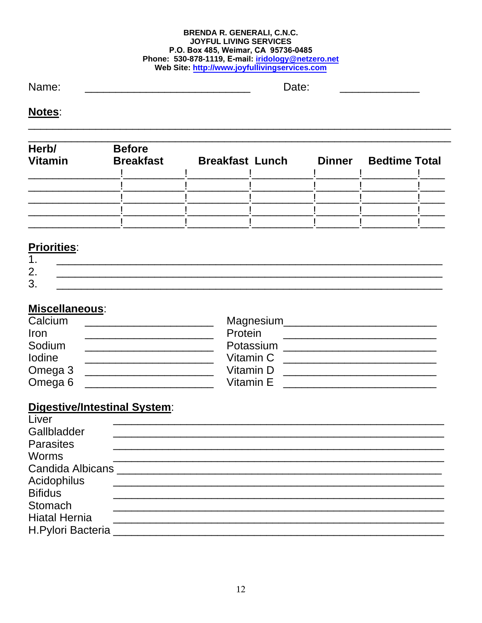#### **BRENDA R. GENERALI, C.N.C. JOYFUL LIVING SERVICES** P.O. Box 485, Weimar, CA 95736-0485 Phone: 530-878-1119, E-mail: iridology@netzero.net Web Site: http://www.joyfullivingservices.com

Name:

Date:

Notes:

| Herb/<br><b>Vitamin</b> | <b>Before</b><br><b>Breakfast</b> | <b>Breakfast Lunch</b> | <b>Dinner</b> | <b>Bedtime Total</b> |  |
|-------------------------|-----------------------------------|------------------------|---------------|----------------------|--|
|                         |                                   |                        |               |                      |  |
|                         |                                   |                        |               |                      |  |
|                         |                                   |                        |               |                      |  |
|                         |                                   |                        |               |                      |  |

## **Priorities:**

| . .                                       | _______                  |  |  |
|-------------------------------------------|--------------------------|--|--|
| ⌒<br>$\overline{\phantom{a}}$<br><u>.</u> | $\overline{\phantom{a}}$ |  |  |
| ⌒<br>J                                    |                          |  |  |

## Miscellaneous:

| Calcium            | Magnesium |
|--------------------|-----------|
| Iron               | Protein   |
| Sodium             | Potassium |
| <b>lodine</b>      | Vitamin C |
| Omega 3            | Vitamin D |
| Omega <sub>6</sub> | Vitamin E |

## **Digestive/Intestinal System:**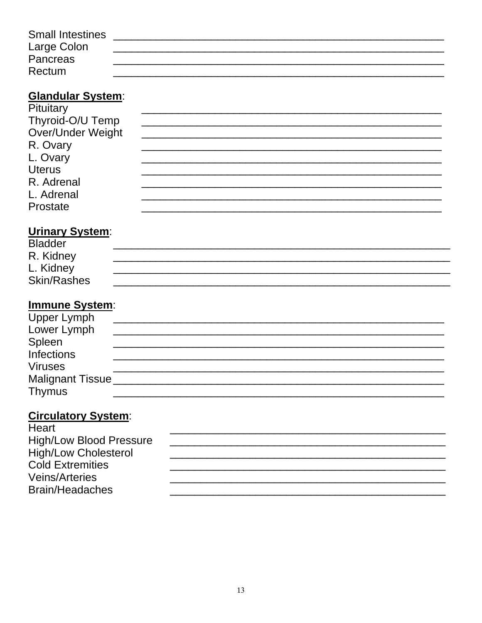| <b>Small Intestines</b> |  |
|-------------------------|--|
| Large Colon             |  |
| <b>Pancreas</b>         |  |
| Rectum                  |  |

## **Glandular System:**

| Pituitary         |  |
|-------------------|--|
| Thyroid-O/U Temp  |  |
| Over/Under Weight |  |
| R. Ovary          |  |
| L. Ovary          |  |
| <b>Uterus</b>     |  |
| R. Adrenal        |  |
| L. Adrenal        |  |
| Prostate          |  |

## Urinary System:

| <b>Bladder</b>     |  |
|--------------------|--|
| R. Kidney          |  |
| L. Kidney          |  |
| <b>Skin/Rashes</b> |  |

## **Immune System:**

| the contract of the contract of the contract of the contract of the contract of the contract of the contract of |  |
|-----------------------------------------------------------------------------------------------------------------|--|
| <b>Upper Lymph</b>                                                                                              |  |
| Lower Lymph                                                                                                     |  |
| Spleen                                                                                                          |  |
| <b>Infections</b>                                                                                               |  |
| <b>Viruses</b>                                                                                                  |  |
| Malignant Tissue                                                                                                |  |
| <b>Thymus</b>                                                                                                   |  |

## **Circulatory System:**

| Heart                          |  |
|--------------------------------|--|
| <b>High/Low Blood Pressure</b> |  |
| <b>High/Low Cholesterol</b>    |  |
| <b>Cold Extremities</b>        |  |
| <b>Veins/Arteries</b>          |  |
| Brain/Headaches                |  |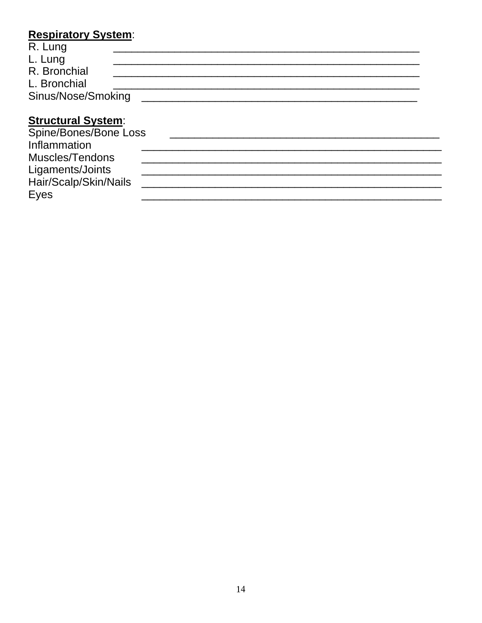## **Respiratory System:**

| R. Lung            |  |  |
|--------------------|--|--|
| L. Lung            |  |  |
| R. Bronchial       |  |  |
| L. Bronchial       |  |  |
| Sinus/Nose/Smoking |  |  |
|                    |  |  |

## **Structural System:**

| Spine/Bones/Bone Loss |  |
|-----------------------|--|
| Inflammation          |  |
| Muscles/Tendons       |  |
| Ligaments/Joints      |  |
| Hair/Scalp/Skin/Nails |  |
| Eyes                  |  |